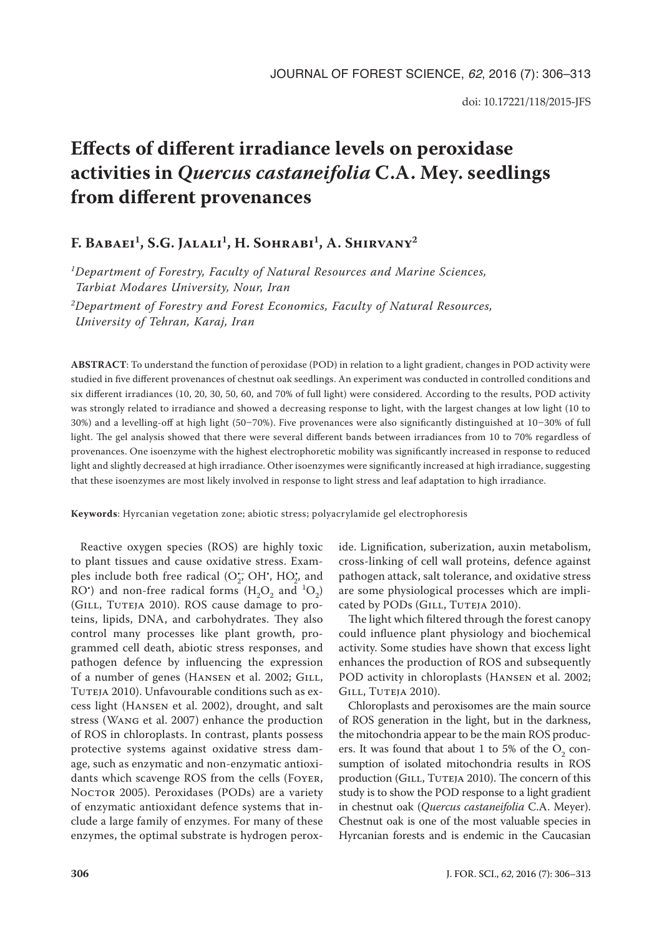# **Effects of different irradiance levels on peroxidase activities in** *Quercus castaneifolia* **C.A. Mey. seedlings from different provenances**

## F. BABAEI<sup>1</sup>, S.G. JALALI<sup>1</sup>, H. SOHRABI<sup>1</sup>, A. SHIRVANY<sup>2</sup>

*1Department of Forestry, Faculty of Natural Resources and Marine Sciences, Tarbiat Modares University, Nour, Iran*

*2Department of Forestry and Forest Economics, Faculty of Natural Resources, University of Tehran, Karaj, Iran*

**ABSTRACT**: To understand the function of peroxidase (POD) in relation to a light gradient, changes in POD activity were studied in five different provenances of chestnut oak seedlings. An experiment was conducted in controlled conditions and six different irradiances (10, 20, 30, 50, 60, and 70% of full light) were considered. According to the results, POD activity was strongly related to irradiance and showed a decreasing response to light, with the largest changes at low light (10 to 30%) and a levelling-off at high light (50–70%). Five provenances were also significantly distinguished at 10–30% of full light. The gel analysis showed that there were several different bands between irradiances from 10 to 70% regardless of provenances. One isoenzyme with the highest electrophoretic mobility was significantly increased in response to reduced light and slightly decreased at high irradiance. Other isoenzymes were significantly increased at high irradiance, suggesting that these isoenzymes are most likely involved in response to light stress and leaf adaptation to high irradiance.

**Keywords**: Hyrcanian vegetation zone; abiotic stress; polyacrylamide gel electrophoresis

Reactive oxygen species (ROS) are highly toxic to plant tissues and cause oxidative stress. Examples include both free radical  $(O_2^- \cdot OH^*$ ,  $HO_2^*$  and RO<sup>•</sup>) and non-free radical forms  $(H_2O_2$  and  $^1O_2)$ (Gill, Tuteja 2010). ROS cause damage to proteins, lipids, DNA, and carbohydrates. They also control many processes like plant growth, programmed cell death, abiotic stress responses, and pathogen defence by influencing the expression of a number of genes (HANSEN et al. 2002; GILL, TUTEJA 2010). Unfavourable conditions such as excess light (Hansen et al. 2002), drought, and salt stress (Wang et al. 2007) enhance the production of ROS in chloroplasts. In contrast, plants possess protective systems against oxidative stress damage, such as enzymatic and non-enzymatic antioxidants which scavenge ROS from the cells (Foyer, NOCTOR 2005). Peroxidases (PODs) are a variety of enzymatic antioxidant defence systems that include a large family of enzymes. For many of these enzymes, the optimal substrate is hydrogen peroxide. Lignification, suberization, auxin metabolism, cross-linking of cell wall proteins, defence against pathogen attack, salt tolerance, and oxidative stress are some physiological processes which are implicated by PODs (GILL, TUTEJA 2010).

The light which filtered through the forest canopy could influence plant physiology and biochemical activity. Some studies have shown that excess light enhances the production of ROS and subsequently POD activity in chloroplasts (Hansen et al. 2002; GILL, TUTEJA 2010).

Chloroplasts and peroxisomes are the main source of ROS generation in the light, but in the darkness, the mitochondria appear to be the main ROS producers. It was found that about 1 to 5% of the  $O_2$  consumption of isolated mitochondria results in ROS production (GILL, TUTEJA 2010). The concern of this study is to show the POD response to a light gradient in chestnut oak (*Quercus castaneifolia* C.A. Meyer). Chestnut oak is one of the most valuable species in Hyrcanian forests and is endemic in the Caucasian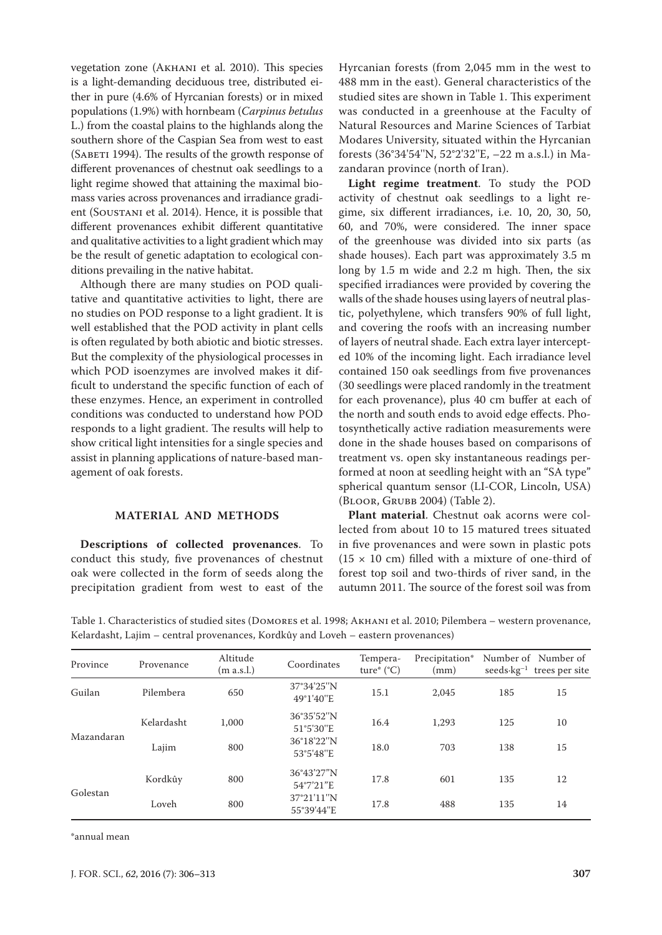vegetation zone (Akhani et al. 2010). This species is a light-demanding deciduous tree, distributed either in pure (4.6% of Hyrcanian forests) or in mixed populations (1.9%) with hornbeam (*Carpinus betulus* L.) from the coastal plains to the highlands along the southern shore of the Caspian Sea from west to east (SABETI 1994). The results of the growth response of different provenances of chestnut oak seedlings to a light regime showed that attaining the maximal biomass varies across provenances and irradiance gradient (SOUSTANI et al. 2014). Hence, it is possible that different provenances exhibit different quantitative and qualitative activities to a light gradient which may be the result of genetic adaptation to ecological conditions prevailing in the native habitat.

Although there are many studies on POD qualitative and quantitative activities to light, there are no studies on POD response to a light gradient. It is well established that the POD activity in plant cells is often regulated by both abiotic and biotic stresses. But the complexity of the physiological processes in which POD isoenzymes are involved makes it difficult to understand the specific function of each of these enzymes. Hence, an experiment in controlled conditions was conducted to understand how POD responds to a light gradient. The results will help to show critical light intensities for a single species and assist in planning applications of nature-based management of oak forests.

### **MATERIAL AND METHODS**

**Descriptions of collected provenances**. To conduct this study, five provenances of chestnut oak were collected in the form of seeds along the precipitation gradient from west to east of the

Hyrcanian forests (from 2,045 mm in the west to 488 mm in the east). General characteristics of the studied sites are shown in Table 1. This experiment was conducted in a greenhouse at the Faculty of Natural Resources and Marine Sciences of Tarbiat Modares University, situated within the Hyrcanian forests (36°34'54''N, 52°2'32''E, –22 m a.s.l.) in Mazandaran province (north of Iran).

**Light regime treatment**. To study the POD activity of chestnut oak seedlings to a light regime, six different irradiances, i.e. 10, 20, 30, 50, 60, and 70%, were considered. The inner space of the greenhouse was divided into six parts (as shade houses). Each part was approximately 3.5 m long by 1.5 m wide and 2.2 m high. Then, the six specified irradiances were provided by covering the walls of the shade houses using layers of neutral plastic, polyethylene, which transfers 90% of full light, and covering the roofs with an increasing number of layers of neutral shade. Each extra layer intercepted 10% of the incoming light. Each irradiance level contained 150 oak seedlings from five provenances (30 seedlings were placed randomly in the treatment for each provenance), plus 40 cm buffer at each of the north and south ends to avoid edge effects. Photosynthetically active radiation measurements were done in the shade houses based on comparisons of treatment vs. open sky instantaneous readings performed at noon at seedling height with an "SA type" spherical quantum sensor (LI-COR, Lincoln, USA) (Bloor, Grubb 2004) (Table 2).

**Plant material**. Chestnut oak acorns were collected from about 10 to 15 matured trees situated in five provenances and were sown in plastic pots  $(15 \times 10 \text{ cm})$  filled with a mixture of one-third of forest top soil and two-thirds of river sand, in the autumn 2011. The source of the forest soil was from

Table 1. Characteristics of studied sites (DOMORES et al. 1998; Акнамі et al. 2010; Pilembera – western provenance, Kelardasht, Lajim – central provenances, Kordkûy and Loveh – eastern provenances)

| Province   | Provenance | Altitude<br>(m a.s.l.) | Coordinates                                        | Tempera-<br>ture* $(^{\circ}C)$ | Precipitation*<br>(mm) | $seeds \cdot kg^{-1}$ | Number of Number of<br>trees per site |
|------------|------------|------------------------|----------------------------------------------------|---------------------------------|------------------------|-----------------------|---------------------------------------|
| Guilan     | Pilembera  | 650                    | 37°34'25"N<br>49°1'40"E                            | 15.1                            | 2.045                  | 185                   | 15                                    |
| Mazandaran | Kelardasht | 1,000                  | 36°35'52"N<br>51°5'30"E<br>36°18'22"N<br>53°5'48"E | 16.4                            | 1,293                  | 125                   | 10                                    |
|            | Lajim      | 800                    |                                                    | 18.0                            | 703                    | 138                   | 15                                    |
| Golestan   | Kordkûy    | 800                    | 36°43'27"N<br>54°7'21"E                            | 17.8                            | 601                    | 135                   | 12                                    |
|            | Loveh      | 800                    | 37°21'11"N<br>55°39'44"E                           | 17.8                            | 488                    | 135                   | 14                                    |

\*annual mean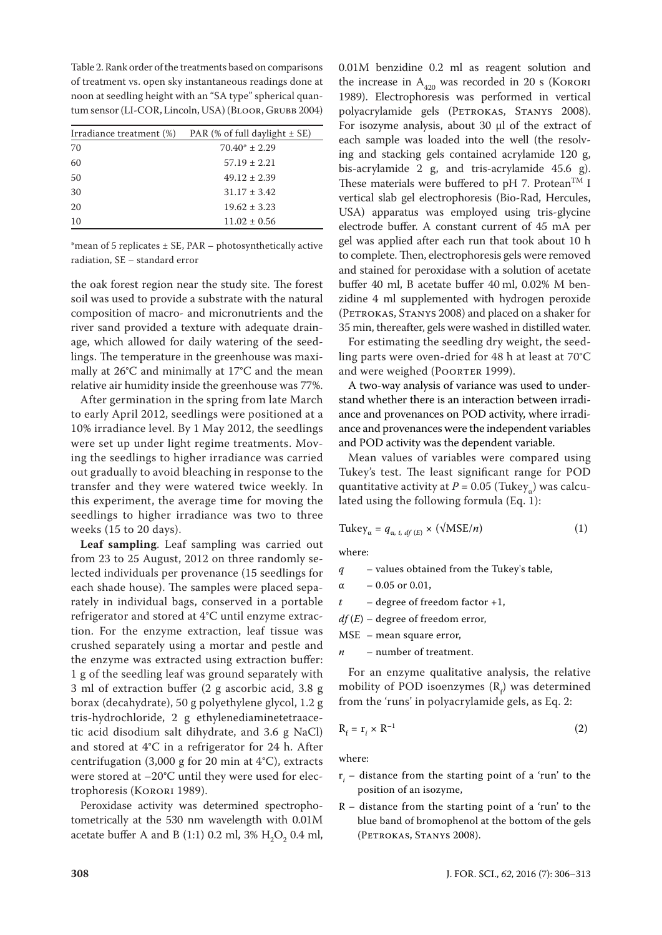Table 2. Rank order of the treatments based on comparisons of treatment vs. open sky instantaneous readings done at noon at seedling height with an "SA type" spherical quantum sensor (LI-COR, Lincoln, USA) (Bloor, Grubb 2004)

|    | Irradiance treatment $(\%)$ PAR $(\%$ of full daylight $\pm$ SE) |
|----|------------------------------------------------------------------|
| 70 | $70.40* \pm 2.29$                                                |
| 60 | $57.19 \pm 2.21$                                                 |
| 50 | $49.12 \pm 2.39$                                                 |
| 30 | $31.17 \pm 3.42$                                                 |
| 20 | $19.62 \pm 3.23$                                                 |
| 10 | $11.02 \pm 0.56$                                                 |

\*mean of 5 replicates  $\pm$  SE, PAR – photosynthetically active radiation, SE – standard error

the oak forest region near the study site. The forest soil was used to provide a substrate with the natural composition of macro- and micronutrients and the river sand provided a texture with adequate drainage, which allowed for daily watering of the seedlings. The temperature in the greenhouse was maximally at 26°C and minimally at 17°C and the mean relative air humidity inside the greenhouse was 77%.

After germination in the spring from late March to early April 2012, seedlings were positioned at a 10% irradiance level. By 1 May 2012, the seedlings were set up under light regime treatments. Moving the seedlings to higher irradiance was carried out gradually to avoid bleaching in response to the transfer and they were watered twice weekly. In this experiment, the average time for moving the seedlings to higher irradiance was two to three weeks (15 to 20 days).

**Leaf sampling**. Leaf sampling was carried out from 23 to 25 August, 2012 on three randomly selected individuals per provenance (15 seedlings for each shade house). The samples were placed separately in individual bags, conserved in a portable refrigerator and stored at 4°C until enzyme extraction. For the enzyme extraction, leaf tissue was crushed separately using a mortar and pestle and the enzyme was extracted using extraction buffer: 1 g of the seedling leaf was ground separately with 3 ml of extraction buffer (2 g ascorbic acid, 3.8 g borax (decahydrate), 50 g polyethylene glycol, 1.2 g tris-hydrochloride, 2 g ethylenediaminetetraacetic acid disodium salt dihydrate, and 3.6 g NaCl) and stored at 4°C in a refrigerator for 24 h. After centrifugation (3,000 g for 20 min at 4°C), extracts were stored at –20°C until they were used for electrophoresis (Korori 1989).

Peroxidase activity was determined spectrophotometrically at the 530 nm wavelength with 0.01M acetate buffer A and B (1:1) 0.2 ml,  $3\%$   $H_2O_2$  0.4 ml, 0.01M benzidine 0.2 ml as reagent solution and the increase in  $A_{420}$  was recorded in 20 s (KORORI 1989). Electrophoresis was performed in vertical polyacrylamide gels (PETROKAS, STANYS 2008). For isozyme analysis, about  $30 \mu l$  of the extract of each sample was loaded into the well (the resolving and stacking gels contained acrylamide 120 g, bis-acrylamide 2 g, and tris-acrylamide 45.6 g). These materials were buffered to pH 7. Protean<sup>TM</sup> I vertical slab gel electrophoresis (Bio-Rad, Hercules, USA) apparatus was employed using tris-glycine electrode buffer. A constant current of 45 mA per gel was applied after each run that took about 10 h to complete. Then, electrophoresis gels were removed and stained for peroxidase with a solution of acetate buffer 40 ml, B acetate buffer 40 ml, 0.02% M benzidine 4 ml supplemented with hydrogen peroxide (PETROKAS, STANYS 2008) and placed on a shaker for 35 min, thereafter, gels were washed in distilled water.

For estimating the seedling dry weight, the seedling parts were oven-dried for 48 h at least at 70°C and were weighed (POORTER 1999).

A two-way analysis of variance was used to understand whether there is an interaction between irradiance and provenances on POD activity, where irradiance and provenances were the independent variables and POD activity was the dependent variable.

Mean values of variables were compared using Tukey's test. The least significant range for POD quantitative activity at  $P = 0.05$  (Tukey<sub>α</sub>) was calculated using the following formula (Eq. 1):

$$
Tukey_{\alpha} = q_{\alpha, t, df(E)} \times (\sqrt{MSE}/n)
$$
 (1)

where:

- *q* values obtained from the Tukey's table,
- $α$  0.05 or 0.01,
- *t* degree of freedom factor +1,
- $df(E)$  degree of freedom error,
- MSE mean square error,
- *n* number of treatment.

For an enzyme qualitative analysis, the relative mobility of POD isoenzymes  $(R_f)$  was determined from the 'runs' in polyacrylamide gels, as Eq. 2:

$$
R_f = r_i \times R^{-1}
$$
 (2)

where:

- r*<sup>i</sup>* distance from the starting point of a 'run' to the position of an isozyme,
- $R$  distance from the starting point of a 'run' to the blue band of bromophenol at the bottom of the gels (Petrokas, Stanys 2008).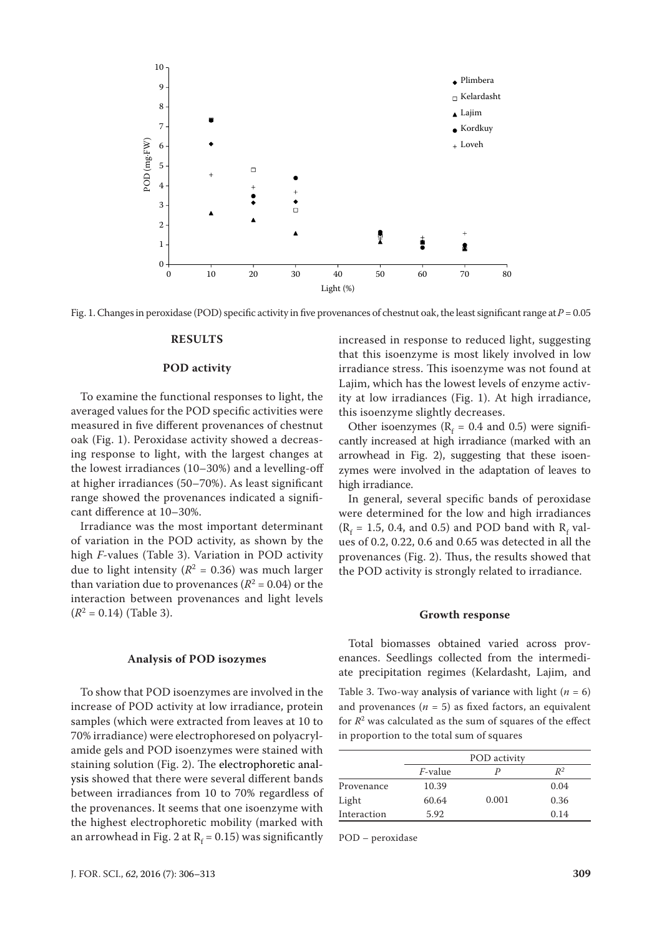

Fig. 1. Changes in peroxidase (POD) specific activity in five provenances of chestnut oak, the least significant range at  $P = 0.05$ 

#### **RESULTS**

#### **POD activity**

To examine the functional responses to light, the averaged values for the POD specific activities were measured in five different provenances of chestnut oak (Fig. 1). Peroxidase activity showed a decreasing response to light, with the largest changes at the lowest irradiances (10–30%) and a levelling-off at higher irradiances (50–70%). As least significant range showed the provenances indicated a significant difference at 10–30%.

Irradiance was the most important determinant of variation in the POD activity, as shown by the high *F*-values (Table 3). Variation in POD activity due to light intensity ( $R^2 = 0.36$ ) was much larger than variation due to provenances  $(R^2 = 0.04)$  or the interaction between provenances and light levels  $(R^2 = 0.14)$  (Table 3).

#### **Analysis of POD isozymes**

To show that POD isoenzymes are involved in the increase of POD activity at low irradiance, protein samples (which were extracted from leaves at 10 to 70% irradiance) were electrophoresed on polyacrylamide gels and POD isoenzymes were stained with staining solution (Fig. 2). The electrophoretic analysis showed that there were several different bands between irradiances from 10 to 70% regardless of the provenances. It seems that one isoenzyme with the highest electrophoretic mobility (marked with an arrowhead in Fig. 2 at  $R_f$  = 0.15) was significantly increased in response to reduced light, suggesting that this isoenzyme is most likely involved in low irradiance stress. This isoenzyme was not found at Lajim, which has the lowest levels of enzyme activity at low irradiances (Fig. 1). At high irradiance, this isoenzyme slightly decreases.

Other isoenzymes ( $R_f = 0.4$  and 0.5) were significantly increased at high irradiance (marked with an arrowhead in Fig. 2), suggesting that these isoenzymes were involved in the adaptation of leaves to high irradiance.

In general, several specific bands of peroxidase were determined for the low and high irradiances  $(R_f = 1.5, 0.4, \text{ and } 0.5)$  and POD band with  $R_f$  values of 0.2, 0.22, 0.6 and 0.65 was detected in all the provenances (Fig. 2). Thus, the results showed that the POD activity is strongly related to irradiance.

#### **Growth response**

Total biomasses obtained varied across provenances. Seedlings collected from the intermediate precipitation regimes (Kelardasht, Lajim, and Table 3. Two-way analysis of variance with light  $(n = 6)$ and provenances  $(n = 5)$  as fixed factors, an equivalent for  $R^2$  was calculated as the sum of squares of the effect in proportion to the total sum of squares

|             |                 | POD activity |       |
|-------------|-----------------|--------------|-------|
|             | <i>F</i> -value |              | $R^2$ |
| Provenance  | 10.39           |              | 0.04  |
| Light       | 60.64           | 0.001        | 0.36  |
| Interaction | 5.92            |              | 0.14  |

POD – peroxidase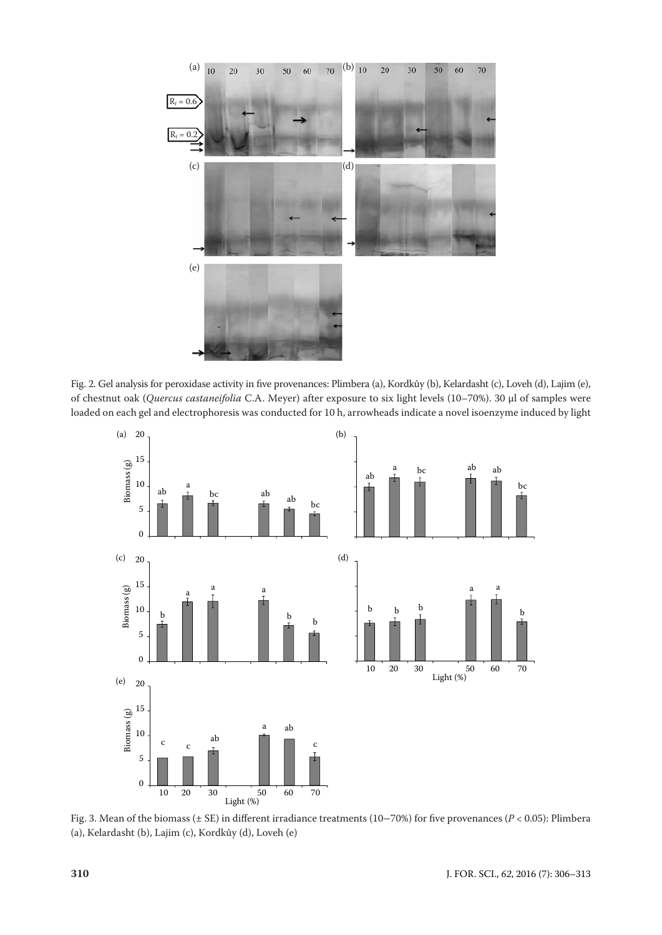

Fig. 2. Gel analysis for peroxidase activity in five provenances: Plimbera (a), Kordkûy (b), Kelardasht (c), Loveh (d), Lajim (e), of chestnut oak (*Quercus castaneifolia* C.A. Meyer) after exposure to six light levels (10–70%). 30 µl of samples were loaded on each gel and electrophoresis was conducted for 10 h, arrowheads indicate a novel isoenzyme induced by light



Fig. 3. Mean of the biomass (± SE) in different irradiance treatments (10–70%) for five provenances (*P* < 0.05): Plimbera (a), Kelardasht (b), Lajim (c), Kordkûy (d), Loveh (e)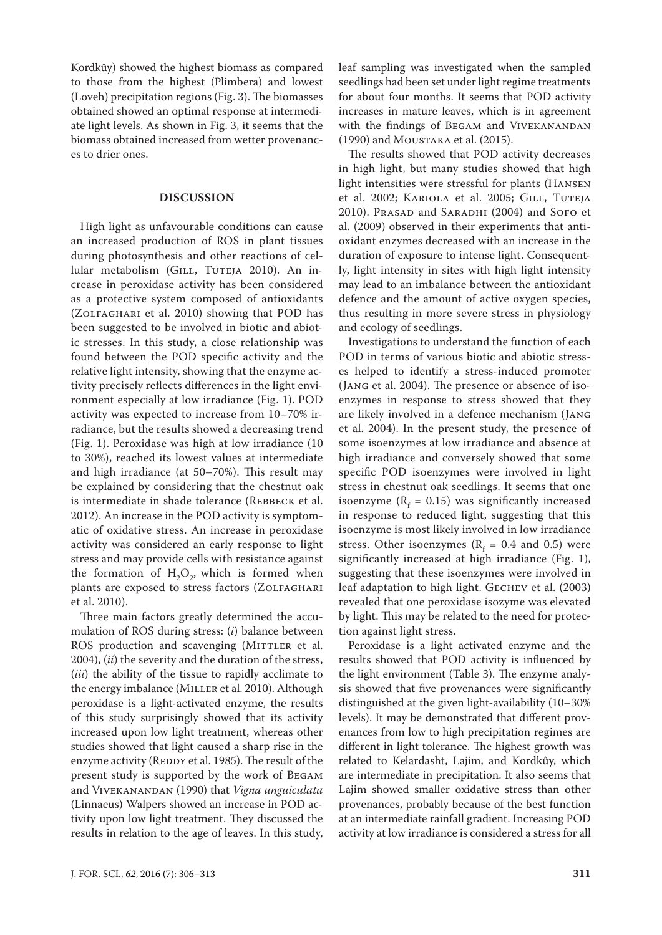Kordkûy) showed the highest biomass as compared to those from the highest (Plimbera) and lowest (Loveh) precipitation regions (Fig. 3). The biomasses obtained showed an optimal response at intermediate light levels. As shown in Fig. 3, it seems that the biomass obtained increased from wetter provenances to drier ones.

#### **DISCUSSION**

High light as unfavourable conditions can cause an increased production of ROS in plant tissues during photosynthesis and other reactions of cellular metabolism (GILL, TUTEJA 2010). An increase in peroxidase activity has been considered as a protective system composed of antioxidants (Zolfaghari et al. 2010) showing that POD has been suggested to be involved in biotic and abiotic stresses. In this study, a close relationship was found between the POD specific activity and the relative light intensity, showing that the enzyme activity precisely reflects differences in the light environment especially at low irradiance (Fig. 1). POD activity was expected to increase from 10–70% irradiance, but the results showed a decreasing trend (Fig. 1). Peroxidase was high at low irradiance (10 to 30%), reached its lowest values at intermediate and high irradiance (at 50–70%). This result may be explained by considering that the chestnut oak is intermediate in shade tolerance (REBBECK et al. 2012). An increase in the POD activity is symptomatic of oxidative stress. An increase in peroxidase activity was considered an early response to light stress and may provide cells with resistance against the formation of  $H_2O_2$ , which is formed when plants are exposed to stress factors (ZOLFAGHARI et al. 2010).

Three main factors greatly determined the accumulation of ROS during stress: (*i*) balance between ROS production and scavenging (MITTLER et al. 2004), (*ii*) the severity and the duration of the stress, (*iii*) the ability of the tissue to rapidly acclimate to the energy imbalance (MILLER et al. 2010). Although peroxidase is a light-activated enzyme, the results of this study surprisingly showed that its activity increased upon low light treatment, whereas other studies showed that light caused a sharp rise in the enzyme activity (REDDY et al. 1985). The result of the present study is supported by the work of Begam and Vivekanandan (1990) that *Vigna unguiculata* (Linnaeus) Walpers showed an increase in POD activity upon low light treatment. They discussed the results in relation to the age of leaves. In this study, leaf sampling was investigated when the sampled seedlings had been set under light regime treatments for about four months. It seems that POD activity increases in mature leaves, which is in agreement with the findings of Begam and Vivekanandan (1990) and Moustaka et al. (2015).

The results showed that POD activity decreases in high light, but many studies showed that high light intensities were stressful for plants (Hansen et al. 2002; KARIOLA et al. 2005; GILL, TUTEJA 2010). PRASAD and SARADHI (2004) and SOFO et al. (2009) observed in their experiments that antioxidant enzymes decreased with an increase in the duration of exposure to intense light. Consequently, light intensity in sites with high light intensity may lead to an imbalance between the antioxidant defence and the amount of active oxygen species, thus resulting in more severe stress in physiology and ecology of seedlings.

Investigations to understand the function of each POD in terms of various biotic and abiotic stresses helped to identify a stress-induced promoter (Jang et al. 2004). The presence or absence of isoenzymes in response to stress showed that they are likely involved in a defence mechanism (Jang et al. 2004). In the present study, the presence of some isoenzymes at low irradiance and absence at high irradiance and conversely showed that some specific POD isoenzymes were involved in light stress in chestnut oak seedlings. It seems that one isoenzyme ( $R_f$  = 0.15) was significantly increased in response to reduced light, suggesting that this isoenzyme is most likely involved in low irradiance stress. Other isoenzymes ( $R_f = 0.4$  and 0.5) were significantly increased at high irradiance (Fig. 1), suggesting that these isoenzymes were involved in leaf adaptation to high light. GECHEV et al. (2003) revealed that one peroxidase isozyme was elevated by light. This may be related to the need for protection against light stress.

Peroxidase is a light activated enzyme and the results showed that POD activity is influenced by the light environment (Table 3). The enzyme analysis showed that five provenances were significantly distinguished at the given light-availability (10–30% levels). It may be demonstrated that different provenances from low to high precipitation regimes are different in light tolerance. The highest growth was related to Kelardasht, Lajim, and Kordkûy, which are intermediate in precipitation. It also seems that Lajim showed smaller oxidative stress than other provenances, probably because of the best function at an intermediate rainfall gradient. Increasing POD activity at low irradiance is considered a stress for all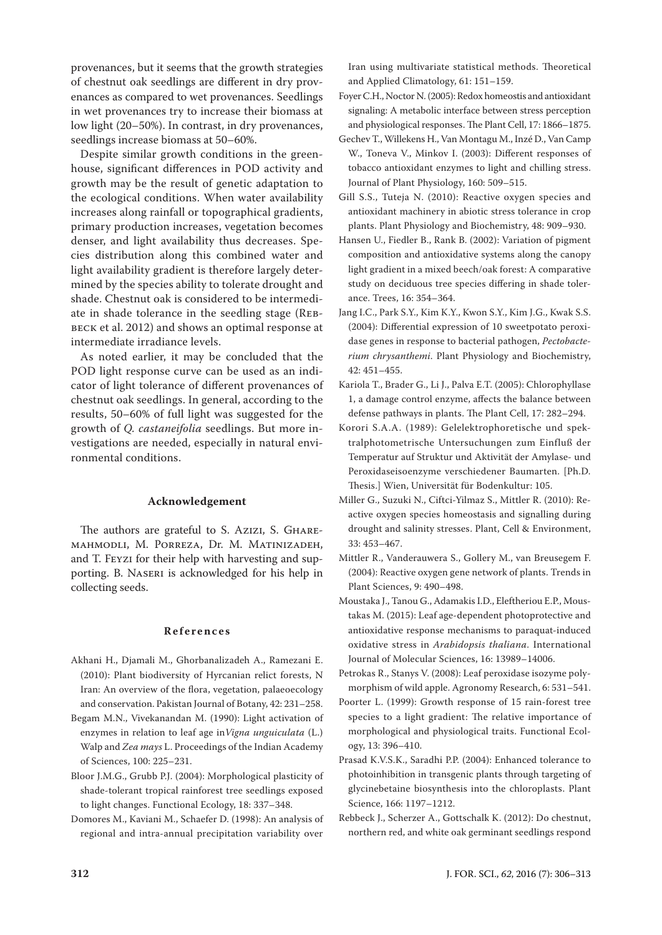provenances, but it seems that the growth strategies of chestnut oak seedlings are different in dry provenances as compared to wet provenances. Seedlings in wet provenances try to increase their biomass at low light (20–50%). In contrast, in dry provenances, seedlings increase biomass at 50–60%.

Despite similar growth conditions in the greenhouse, significant differences in POD activity and growth may be the result of genetic adaptation to the ecological conditions. When water availability increases along rainfall or topographical gradients, primary production increases, vegetation becomes denser, and light availability thus decreases. Species distribution along this combined water and light availability gradient is therefore largely determined by the species ability to tolerate drought and shade. Chestnut oak is considered to be intermediate in shade tolerance in the seedling stage (Rebbeck et al. 2012) and shows an optimal response at intermediate irradiance levels.

As noted earlier, it may be concluded that the POD light response curve can be used as an indicator of light tolerance of different provenances of chestnut oak seedlings. In general, according to the results, 50–60% of full light was suggested for the growth of *Q. castaneifolia* seedlings. But more investigations are needed, especially in natural environmental conditions.

#### **Acknowledgement**

The authors are grateful to S. Azizi, S. GHAREmahmodli, M. Porreza, Dr. M. Matinizadeh, and T. Feyzi for their help with harvesting and supporting. B. Naseri is acknowledged for his help in collecting seeds.

#### **References**

- Akhani H., Djamali M., Ghorbanalizadeh A., Ramezani E. (2010): Plant biodiversity of Hyrcanian relict forests, N Iran: An overview of the flora, vegetation, palaeoecology and conservation. Pakistan Journal of Botany, 42: 231–258.
- Begam M.N., Vivekanandan M. (1990): Light activation of enzymes in relation to leaf age in*Vigna unguiculata* (L.) Walp and *Zea mays* L. Proceedings of the Indian Academy of Sciences, 100: 225–231.
- Bloor J.M.G., Grubb P.J. (2004): Morphological plasticity of shade-tolerant tropical rainforest tree seedlings exposed to light changes. Functional Ecology, 18: 337–348.
- Domores M., Kaviani M., Schaefer D. (1998): An analysis of regional and intra-annual precipitation variability over

Iran using multivariate statistical methods. Theoretical and Applied Climatology, 61: 151–159.

- Foyer C.H., Noctor N. (2005): Redox homeostis and antioxidant signaling: A metabolic interface between stress perception and physiological responses. The Plant Cell, 17: 1866–1875.
- Gechev T., Willekens H., Van Montagu M., Inzé D., Van Camp W., Toneva V., Minkov I. (2003): Different responses of tobacco antioxidant enzymes to light and chilling stress. Journal of Plant Physiology, 160: 509–515.
- Gill S.S., Tuteja N. (2010): Reactive oxygen species and antioxidant machinery in abiotic stress tolerance in crop plants. Plant Physiology and Biochemistry, 48: 909–930.
- Hansen U., Fiedler B., Rank B. (2002): Variation of pigment composition and antioxidative systems along the canopy light gradient in a mixed beech/oak forest: A comparative study on deciduous tree species differing in shade tolerance. Trees, 16: 354–364.
- Jang I.C., Park S.Y., Kim K.Y., Kwon S.Y., Kim J.G., Kwak S.S. (2004): Differential expression of 10 sweetpotato peroxidase genes in response to bacterial pathogen, *Pectobacterium chrysanthemi*. Plant Physiology and Biochemistry, 42: 451–455.
- Kariola T., Brader G., Li J., Palva E.T. (2005): Chlorophyllase 1, a damage control enzyme, affects the balance between defense pathways in plants. The Plant Cell, 17: 282–294.
- Korori S.A.A. (1989): Gelelektrophoretische und spektralphotometrische Untersuchungen zum Einfluß der Temperatur auf Struktur und Aktivität der Amylase- und Peroxidaseisoenzyme verschiedener Baumarten. [Ph.D. Thesis.] Wien, Universität für Bodenkultur: 105.
- Miller G., Suzuki N., Ciftci-Yilmaz S., Mittler R. (2010): Reactive oxygen species homeostasis and signalling during drought and salinity stresses. Plant, Cell & Environment, 33: 453–467.
- Mittler R., Vanderauwera S., Gollery M., van Breusegem F. (2004): Reactive oxygen gene network of plants. Trends in Plant Sciences, 9: 490–498.
- Moustaka J., Tanou G., Adamakis I.D., Eleftheriou E.P., Moustakas M. (2015): Leaf age-dependent photoprotective and antioxidative response mechanisms to paraquat-induced oxidative stress in *Arabidopsis thaliana*. International Journal of Molecular Sciences, 16: 13989–14006.
- Petrokas R., Stanys V. (2008): Leaf peroxidase isozyme polymorphism of wild apple. Agronomy Research, 6: 531–541.
- Poorter L. (1999): Growth response of 15 rain-forest tree species to a light gradient: The relative importance of morphological and physiological traits. Functional Ecology, 13: 396–410.
- Prasad K.V.S.K., Saradhi P.P. (2004): Enhanced tolerance to photoinhibition in transgenic plants through targeting of glycinebetaine biosynthesis into the chloroplasts. Plant Science, 166: 1197–1212.
- Rebbeck J., Scherzer A., Gottschalk K. (2012): Do chestnut, northern red, and white oak germinant seedlings respond